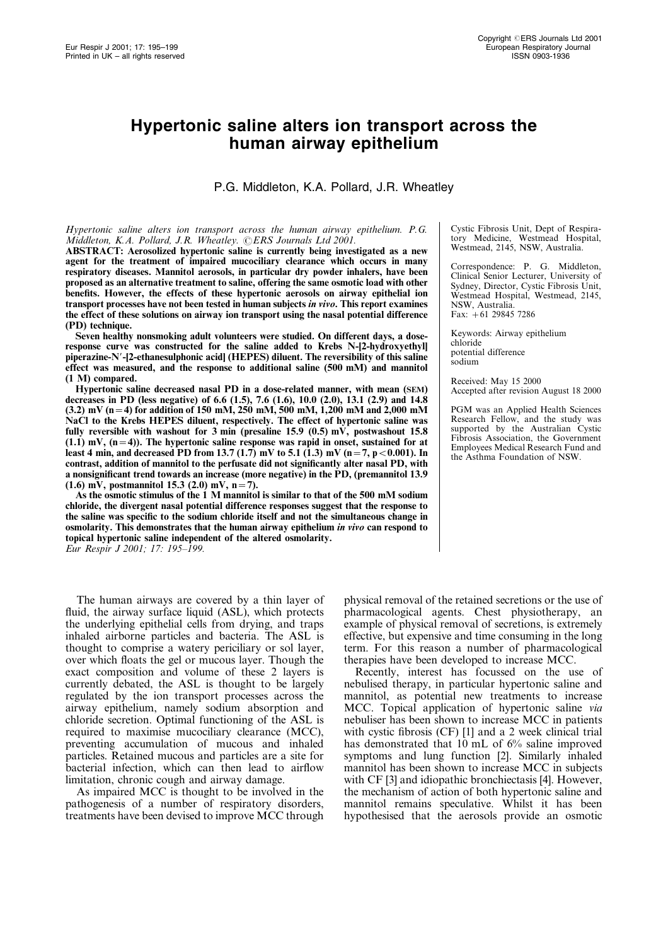# Hypertonic saline alters ion transport across the human airway epithelium

P.G. Middleton, K.A. Pollard, J.R. Wheatley

### Hypertonic saline alters ion transport across the human airway epithelium. P.G. Middleton, K.A. Pollard, J.R. Wheatley.  $@ERS$  Journals Ltd 2001.

ABSTRACT: Aerosolized hypertonic saline is currently being investigated as a new agent for the treatment of impaired mucociliary clearance which occurs in many respiratory diseases. Mannitol aerosols, in particular dry powder inhalers, have been proposed as an alternative treatment to saline, offering the same osmotic load with other benefits. However, the effects of these hypertonic aerosols on airway epithelial ion transport processes have not been tested in human subjects in vivo. This report examines the effect of these solutions on airway ion transport using the nasal potential difference (PD) technique.

Seven healthy nonsmoking adult volunteers were studied. On different days, a doseresponse curve was constructed for the saline added to Krebs N-[2-hydroxyethyl] piperazine-N'-[2-ethanesulphonic acid] (HEPES) diluent. The reversibility of this saline effect was measured, and the response to additional saline (500 mM) and mannitol (1 M) compared.

Hypertonic saline decreased nasal PD in a dose-related manner, with mean (SEM) decreases in PD (less negative) of 6.6 (1.5), 7.6 (1.6), 10.0 (2.0), 13.1 (2.9) and 14.8 (3.2) mV (n = 4) for addition of 150 mM, 250 mM, 500 mM, 1,200 mM and 2,000 mM NaCl to the Krebs HEPES diluent, respectively. The effect of hypertonic saline was fully reversible with washout for  $3 \text{ min}$  (presaline 15.9 (0.5) mV, postwashout 15.8  $(1.1)$  mV,  $(n=4)$ ). The hypertonic saline response was rapid in onset, sustained for at least 4 min, and decreased PD from 13.7 (1.7) mV to 5.1 (1.3) mV (n = 7, p < 0.001). In contrast, addition of mannitol to the perfusate did not significantly alter nasal PD, with a nonsignificant trend towards an increase (more negative) in the PD, (premannitol 13.9  $(1.6)$  mV, postmannitol 15.3 (2.0) mV, n = 7).

As the osmotic stimulus of the 1 M mannitol is similar to that of the 500 mM sodium chloride, the divergent nasal potential difference responses suggest that the response to the saline was specific to the sodium chloride itself and not the simultaneous change in osmolarity. This demonstrates that the human airway epithelium in vivo can respond to topical hypertonic saline independent of the altered osmolarity. Eur Respir J 2001; 17: 195–199.

The human airways are covered by a thin layer of fluid, the airway surface liquid (ASL), which protects the underlying epithelial cells from drying, and traps inhaled airborne particles and bacteria. The ASL is thought to comprise a watery periciliary or sol layer, over which floats the gel or mucous layer. Though the exact composition and volume of these 2 layers is currently debated, the ASL is thought to be largely regulated by the ion transport processes across the airway epithelium, namely sodium absorption and chloride secretion. Optimal functioning of the ASL is required to maximise mucociliary clearance (MCC), preventing accumulation of mucous and inhaled particles. Retained mucous and particles are a site for bacterial infection, which can then lead to airflow limitation, chronic cough and airway damage.

As impaired MCC is thought to be involved in the pathogenesis of a number of respiratory disorders, treatments have been devised to improve MCC through Cystic Fibrosis Unit, Dept of Respiratory Medicine, Westmead Hospital, Westmead, 2145, NSW, Australia.

Correspondence: P. G. Middleton, Clinical Senior Lecturer, University of Sydney, Director, Cystic Fibrosis Unit, Westmead Hospital, Westmead, 2145, NSW, Australia. Fax: +61 29845 7286

Keywords: Airway epithelium chloride potential difference sodium

Received: May 15 2000 Accepted after revision August 18 2000

PGM was an Applied Health Sciences Research Fellow, and the study was supported by the Australian Cystic Fibrosis Association, the Government Employees Medical Research Fund and the Asthma Foundation of NSW.

physical removal of the retained secretions or the use of pharmacological agents. Chest physiotherapy, an example of physical removal of secretions, is extremely effective, but expensive and time consuming in the long term. For this reason a number of pharmacological therapies have been developed to increase MCC.

Recently, interest has focussed on the use of nebulised therapy, in particular hypertonic saline and mannitol, as potential new treatments to increase MCC. Topical application of hypertonic saline via nebuliser has been shown to increase MCC in patients with cystic fibrosis (CF) [1] and a 2 week clinical trial has demonstrated that 10 mL of 6% saline improved symptoms and lung function [2]. Similarly inhaled mannitol has been shown to increase MCC in subjects with CF [3] and idiopathic bronchiectasis [4]. However, the mechanism of action of both hypertonic saline and mannitol remains speculative. Whilst it has been hypothesised that the aerosols provide an osmotic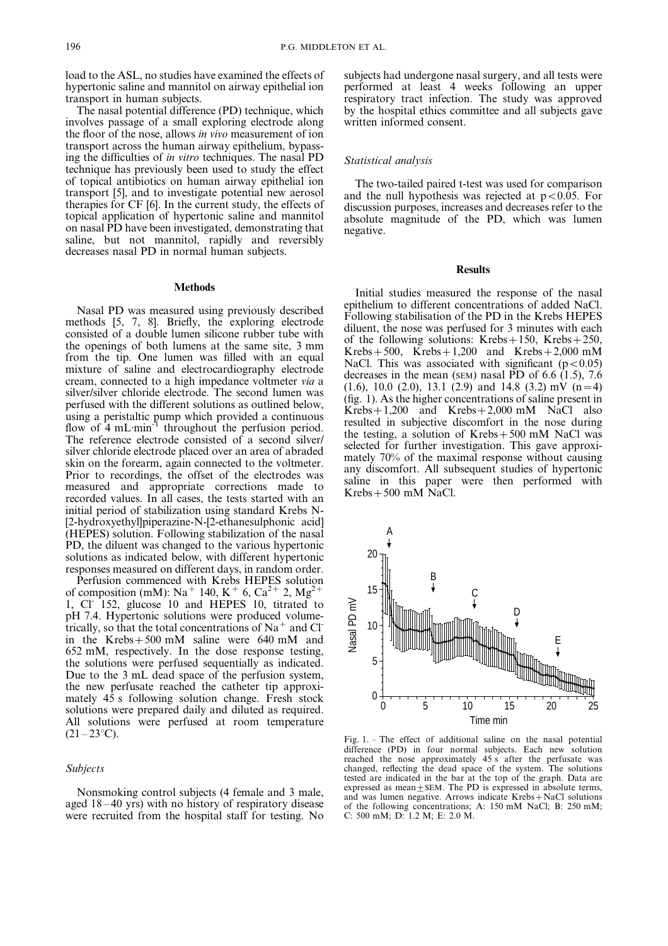load to the ASL, no studies have examined the effects of hypertonic saline and mannitol on airway epithelial ion transport in human subjects.

The nasal potential difference (PD) technique, which involves passage of a small exploring electrode along the floor of the nose, allows in vivo measurement of ion transport across the human airway epithelium, bypassing the difficulties of in vitro techniques. The nasal PD technique has previously been used to study the effect of topical antibiotics on human airway epithelial ion transport [5], and to investigate potential new aerosol therapies for CF [6]. In the current study, the effects of topical application of hypertonic saline and mannitol on nasal PD have been investigated, demonstrating that saline, but not mannitol, rapidly and reversibly decreases nasal PD in normal human subjects.

## Methods

Nasal PD was measured using previously described methods [5, 7, 8]. Briefly, the exploring electrode consisted of a double lumen silicone rubber tube with the openings of both lumens at the same site, 3 mm from the tip. One lumen was filled with an equal mixture of saline and electrocardiography electrode cream, connected to a high impedance voltmeter via a silver/silver chloride electrode. The second lumen was perfused with the different solutions as outlined below, using a peristaltic pump which provided a continuous flow of 4 mL·min<sup>-1</sup> throughout the perfusion period. The reference electrode consisted of a second silver/ silver chloride electrode placed over an area of abraded skin on the forearm, again connected to the voltmeter. Prior to recordings, the offset of the electrodes was measured and appropriate corrections made to recorded values. In all cases, the tests started with an initial period of stabilization using standard Krebs N- [2-hydroxyethyl]piperazine-N-[2-ethanesulphonic acid] (HEPES) solution. Following stabilization of the nasal PD, the diluent was changed to the various hypertonic solutions as indicated below, with different hypertonic responses measured on different days, in random order.

Perfusion commenced with Krebs HEPES solution of composition (mM): Na<sup>+</sup> 140, K<sup>+</sup> 6, Ca<sup>2+</sup> 2, Mg<sup>2</sup> 1, Cl- 152, glucose 10 and HEPES 10, titrated to pH 7.4. Hypertonic solutions were produced volumetrically, so that the total concentrations of  $Na<sup>+</sup>$  and Cl<sup>-</sup> in the Krebs $+500$  mM saline were 640 mM and 652 mM, respectively. In the dose response testing, the solutions were perfused sequentially as indicated. Due to the 3 mL dead space of the perfusion system, the new perfusate reached the catheter tip approximately 45 s following solution change. Fresh stock solutions were prepared daily and diluted as required. All solutions were perfused at room temperature  $(21 - 23$ °C).

## Subjects

Nonsmoking control subjects (4 female and 3 male, aged 18 – 40 yrs) with no history of respiratory disease were recruited from the hospital staff for testing. No subjects had undergone nasal surgery, and all tests were performed at least 4 weeks following an upper respiratory tract infection. The study was approved by the hospital ethics committee and all subjects gave written informed consent.

## Statistical analysis

The two-tailed paired t-test was used for comparison and the null hypothesis was rejected at  $p<0.05$ . For discussion purposes, increases and decreases refer to the absolute magnitude of the PD, which was lumen negative.

#### Results

Initial studies measured the response of the nasal epithelium to different concentrations of added NaCl. Following stabilisation of the PD in the Krebs HEPES diluent, the nose was perfused for 3 minutes with each of the following solutions: Krebs $+150$ , Krebs $+250$ ,  $Krebs+500$ ,  $Krebs+1,200$  and  $Krebs+2,000$  mM NaCl. This was associated with significant ( $p<0.05$ ) decreases in the mean (SEM) nasal PD of 6.6  $(1.5)$ , 7.6  $(1.6)$ , 10.0  $(2.0)$ , 13.1  $(2.9)$  and 14.8  $(3.2)$  mV  $(n=4)$ (fig. 1). As the higher concentrations of saline present in  $Krebs+1,200$  and  $Krebs+2,000$  mM NaCl also resulted in subjective discomfort in the nose during the testing, a solution of Krebs $+500$  mM NaCl was selected for further investigation. This gave approximately 70% of the maximal response without causing any discomfort. All subsequent studies of hypertonic saline in this paper were then performed with  $Krebs+500$  mM NaCl.



Fig. 1. – The effect of additional saline on the nasal potential difference (PD) in four normal subjects. Each new solution reached the nose approximately 45 s after the perfusate was changed, reflecting the dead space of the system. The solutions tested are indicated in the bar at the top of the graph. Data are expressed as mean $+$ SEM. The PD is expressed in absolute terms, and was lumen negative. Arrows indicate  $Krebs + NaCl$  solutions of the following concentrations; A: 150 mM NaCl; B: 250 mM; C: 500 mM; D: 1.2 M; E: 2.0 M.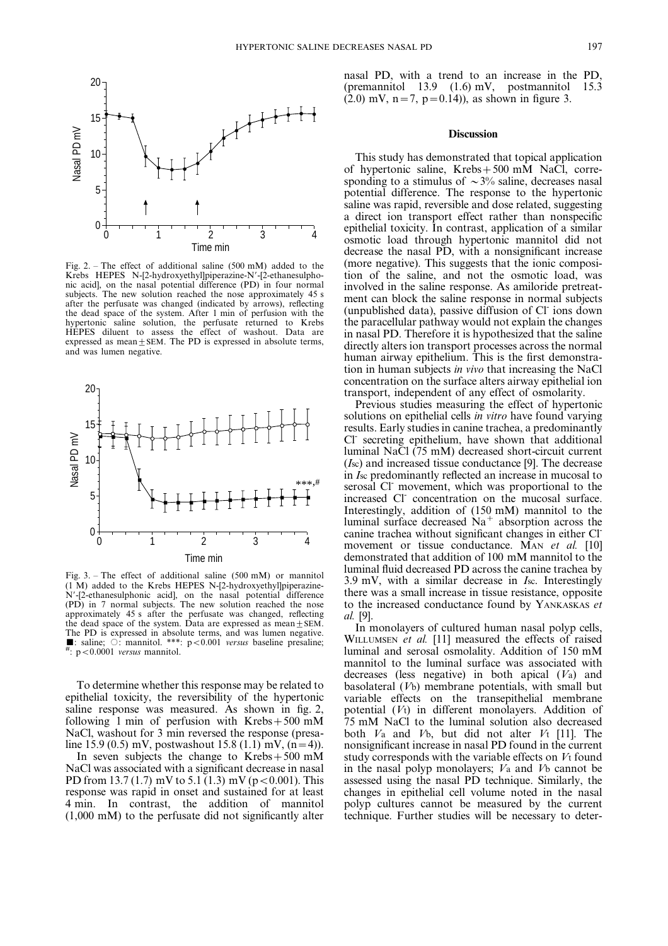

Fig. 2. – The effect of additional saline  $(500 \text{ mM})$  added to the Krebs HEPES N-[2-hydroxyethyl]piperazine-N'-[2-ethanesulphonic acid], on the nasal potential difference (PD) in four normal subjects. The new solution reached the nose approximately 45 s after the perfusate was changed (indicated by arrows), reflecting the dead space of the system. After 1 min of perfusion with the hypertonic saline solution, the perfusate returned to Krebs HEPES diluent to assess the effect of washout. Data are expressed as mean $\pm$ SEM. The PD is expressed in absolute terms, and was lumen negative.



Fig. 3. – The effect of additional saline (500 mM) or mannitol (1 M) added to the Krebs HEPES N-[2-hydroxyethyl]piperazine-N'-[2-ethanesulphonic acid], on the nasal potential difference (PD) in 7 normal subjects. The new solution reached the nose approximately 45 s after the perfusate was changed, reflecting the dead space of the system. Data are expressed as mean  $\pm$  SEM. The PD is expressed in absolute terms, and was lumen negative.<br>  $\blacksquare$ : saline;  $\bigcirc$ : mannitol. \*\*\*: p < 0.001 versus baseline presaline;  $\frac{1}{r}$ : p < 0.0001 versus mannitol.

To determine whether this response may be related to epithelial toxicity, the reversibility of the hypertonic saline response was measured. As shown in fig. 2, following 1 min of perfusion with  $Krebs+500$  mM NaCl, washout for 3 min reversed the response (presaline 15.9 (0.5) mV, postwashout 15.8 (1.1) mV,  $(n=4)$ ).

In seven subjects the change to  $Krebs+500$  mM NaCl was associated with a significant decrease in nasal PD from 13.7 (1.7) mV to 5.1 (1.3) mV ( $p < 0.001$ ). This response was rapid in onset and sustained for at least 4 min. In contrast, the addition of mannitol (1,000 mM) to the perfusate did not significantly alter nasal PD, with a trend to an increase in the PD, (premannitol 13.9 (1.6) mV, postmannitol 15.3  $(2.0)$  mV, n = 7, p = 0.14)), as shown in figure 3.

#### **Discussion**

This study has demonstrated that topical application of hypertonic saline, Krebs $+500$  mM NaCl, corresponding to a stimulus of  $\sim$ 3% saline, decreases nasal potential difference. The response to the hypertonic saline was rapid, reversible and dose related, suggesting a direct ion transport effect rather than nonspecific epithelial toxicity. In contrast, application of a similar osmotic load through hypertonic mannitol did not decrease the nasal PD, with a nonsignificant increase (more negative). This suggests that the ionic composition of the saline, and not the osmotic load, was involved in the saline response. As amiloride pretreatment can block the saline response in normal subjects (unpublished data), passive diffusion of Cl- ions down the paracellular pathway would not explain the changes in nasal PD. Therefore it is hypothesized that the saline directly alters ion transport processes across the normal human airway epithelium. This is the first demonstration in human subjects in vivo that increasing the NaCl concentration on the surface alters airway epithelial ion transport, independent of any effect of osmolarity.

Previous studies measuring the effect of hypertonic solutions on epithelial cells *in vitro* have found varying results. Early studies in canine trachea, a predominantly Cl<sup>-</sup> secreting epithelium, have shown that additional luminal NaCl (75 mM) decreased short-circuit current (Isc) and increased tissue conductance [9]. The decrease in Isc predominantly reflected an increase in mucosal to serosal Cl- movement, which was proportional to the increased Cl- concentration on the mucosal surface. Interestingly, addition of (150 mM) mannitol to the luminal surface decreased  $Na<sup>+</sup>$  absorption across the canine trachea without significant changes in either Clmovement or tissue conductance. M<sub>AN</sub> et al. [10] demonstrated that addition of 100 mM mannitol to the luminal fluid decreased PD across the canine trachea by 3.9 mV, with a similar decrease in Isc. Interestingly there was a small increase in tissue resistance, opposite to the increased conductance found by YANKASKAS et al. [9].

In monolayers of cultured human nasal polyp cells, WILLUMSEN *et al.* [11] measured the effects of raised luminal and serosal osmolality. Addition of 150 mM mannitol to the luminal surface was associated with decreases (less negative) in both apical (Va) and basolateral (Vb) membrane potentials, with small but variable effects on the transepithelial membrane potential (Vt) in different monolayers. Addition of 75 mM NaCl to the luminal solution also decreased both  $V_a$  and  $V_b$ , but did not alter  $V_t$  [11]. The nonsignificant increase in nasal PD found in the current study corresponds with the variable effects on Vt found in the nasal polyp monolayers;  $V_a$  and  $V_b$  cannot be assessed using the nasal PD technique. Similarly, the changes in epithelial cell volume noted in the nasal polyp cultures cannot be measured by the current technique. Further studies will be necessary to deter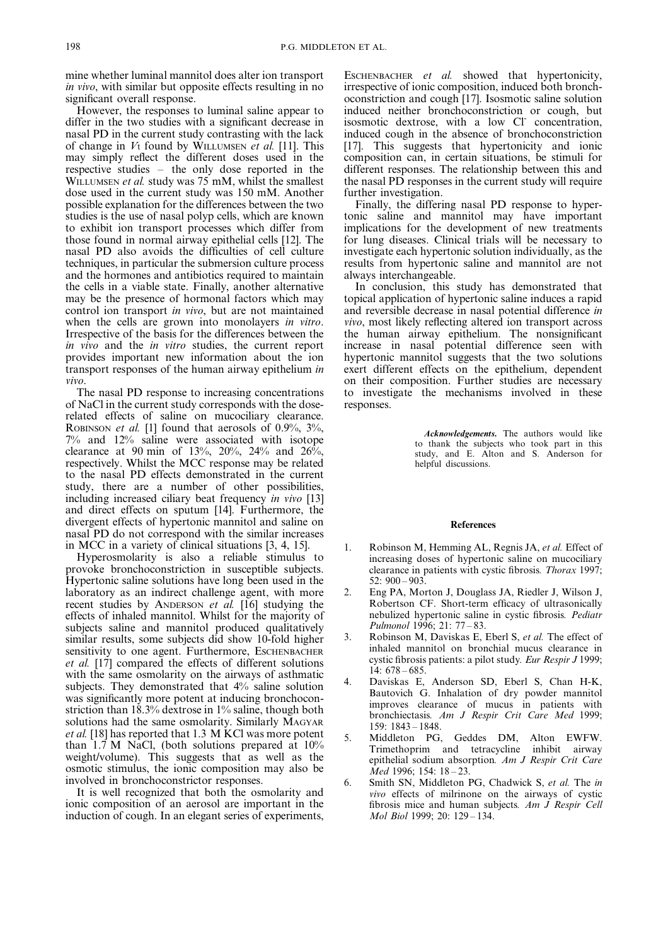mine whether luminal mannitol does alter ion transport in vivo, with similar but opposite effects resulting in no significant overall response.

However, the responses to luminal saline appear to differ in the two studies with a significant decrease in nasal PD in the current study contrasting with the lack of change in  $V_t$  found by WILLUMSEN *et al.* [11]. This may simply reflect the different doses used in the respective studies – the only dose reported in the WILLUMSEN et al. study was 75 mM, whilst the smallest dose used in the current study was 150 mM. Another possible explanation for the differences between the two studies is the use of nasal polyp cells, which are known to exhibit ion transport processes which differ from those found in normal airway epithelial cells [12]. The nasal PD also avoids the difficulties of cell culture techniques, in particular the submersion culture process and the hormones and antibiotics required to maintain the cells in a viable state. Finally, another alternative may be the presence of hormonal factors which may control ion transport in vivo, but are not maintained when the cells are grown into monolayers in vitro. Irrespective of the basis for the differences between the in vivo and the in vitro studies, the current report provides important new information about the ion transport responses of the human airway epithelium in vivo.

The nasal PD response to increasing concentrations of NaCl in the current study corresponds with the doserelated effects of saline on mucociliary clearance. ROBINSON *et al.* [1] found that aerosols of  $0.9\%$ ,  $3\%$ , 7% and 12% saline were associated with isotope clearance at 90 min of 13%, 20%, 24% and  $26\%$ . respectively. Whilst the MCC response may be related to the nasal PD effects demonstrated in the current study, there are a number of other possibilities, including increased ciliary beat frequency in vivo [13] and direct effects on sputum [14]. Furthermore, the divergent effects of hypertonic mannitol and saline on nasal PD do not correspond with the similar increases in MCC in a variety of clinical situations [3, 4, 15].

Hyperosmolarity is also a reliable stimulus to provoke bronchoconstriction in susceptible subjects. Hypertonic saline solutions have long been used in the laboratory as an indirect challenge agent, with more recent studies by ANDERSON et al. [16] studying the effects of inhaled mannitol. Whilst for the majority of subjects saline and mannitol produced qualitatively similar results, some subjects did show 10-fold higher sensitivity to one agent. Furthermore, ESCHENBACHER et al. [17] compared the effects of different solutions with the same osmolarity on the airways of asthmatic subjects. They demonstrated that 4% saline solution was significantly more potent at inducing bronchoconstriction than 18.3% dextrose in 1% saline, though both solutions had the same osmolarity. Similarly MAGYAR et al. [18] has reported that 1.3 M KCl was more potent than 1.7 M NaCl, (both solutions prepared at 10% weight/volume). This suggests that as well as the osmotic stimulus, the ionic composition may also be involved in bronchoconstrictor responses.

It is well recognized that both the osmolarity and ionic composition of an aerosol are important in the induction of cough. In an elegant series of experiments,

ESCHENBACHER et al. showed that hypertonicity, irrespective of ionic composition, induced both bronchoconstriction and cough [17]. Isosmotic saline solution induced neither bronchoconstriction or cough, but isosmotic dextrose, with a low Cl concentration, induced cough in the absence of bronchoconstriction [17]. This suggests that hypertonicity and ionic composition can, in certain situations, be stimuli for different responses. The relationship between this and the nasal PD responses in the current study will require further investigation.

Finally, the differing nasal PD response to hypertonic saline and mannitol may have important implications for the development of new treatments for lung diseases. Clinical trials will be necessary to investigate each hypertonic solution individually, as the results from hypertonic saline and mannitol are not always interchangeable.

In conclusion, this study has demonstrated that topical application of hypertonic saline induces a rapid and reversible decrease in nasal potential difference in vivo, most likely reflecting altered ion transport across the human airway epithelium. The nonsignificant increase in nasal potential difference seen with hypertonic mannitol suggests that the two solutions exert different effects on the epithelium, dependent on their composition. Further studies are necessary to investigate the mechanisms involved in these responses.

> Acknowledgements. The authors would like to thank the subjects who took part in this study, and E. Alton and S. Anderson for helpful discussions.

#### References

- 1. Robinson M, Hemming AL, Regnis JA, et al. Effect of increasing doses of hypertonic saline on mucociliary clearance in patients with cystic fibrosis. Thorax 1997; 52: 900 – 903.
- 2. Eng PA, Morton J, Douglass JA, Riedler J, Wilson J, Robertson CF. Short-term efficacy of ultrasonically nebulized hypertonic saline in cystic fibrosis. Pediatr Pulmonol 1996; 21: 77 – 83.
- 3. Robinson M, Daviskas E, Eberl S, et al. The effect of inhaled mannitol on bronchial mucus clearance in cystic fibrosis patients: a pilot study. Eur Respir J 1999; 14: 678 – 685.
- 4. Daviskas E, Anderson SD, Eberl S, Chan H-K, Bautovich G. Inhalation of dry powder mannitol improves clearance of mucus in patients with bronchiectasis. Am J Respir Crit Care Med 1999; 159: 1843 – 1848.
- 5. Middleton PG, Geddes DM, Alton EWFW. Trimethoprim and tetracycline inhibit airway epithelial sodium absorption. Am J Respir Crit Care Med 1996; 154: 18 – 23.
- 6. Smith SN, Middleton PG, Chadwick S, et al. The in vivo effects of milrinone on the airways of cystic fibrosis mice and human subjects. Am J Respir Cell Mol Biol 1999; 20: 129 – 134.